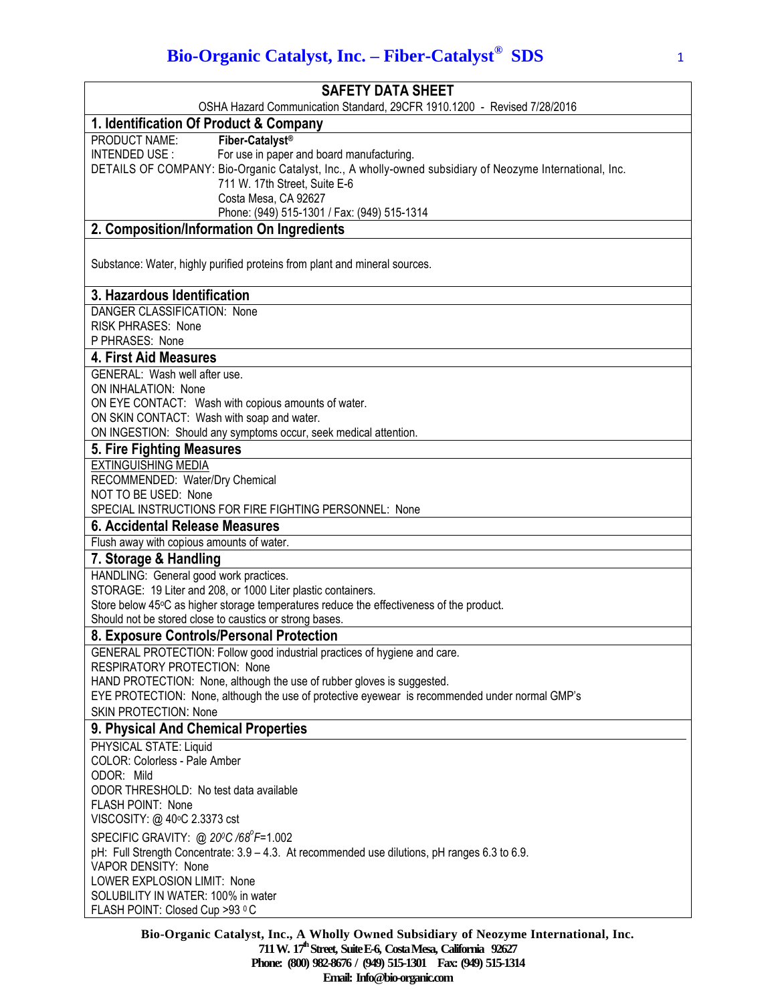# **Bio-Organic Catalyst, Inc. – Fiber-Catalyst® SDS** <sup>1</sup>

| <b>SAFETY DATA SHEET</b>                                                                                                                                                                                                                                                        |
|---------------------------------------------------------------------------------------------------------------------------------------------------------------------------------------------------------------------------------------------------------------------------------|
| OSHA Hazard Communication Standard, 29CFR 1910.1200 - Revised 7/28/2016<br>1. Identification Of Product & Company                                                                                                                                                               |
| Fiber-Catalyst <sup>®</sup><br>PRODUCT NAME:                                                                                                                                                                                                                                    |
| INTENDED USE :<br>For use in paper and board manufacturing.<br>DETAILS OF COMPANY: Bio-Organic Catalyst, Inc., A wholly-owned subsidiary of Neozyme International, Inc.<br>711 W. 17th Street, Suite E-6<br>Costa Mesa, CA 92627<br>Phone: (949) 515-1301 / Fax: (949) 515-1314 |
| 2. Composition/Information On Ingredients                                                                                                                                                                                                                                       |
|                                                                                                                                                                                                                                                                                 |
| Substance: Water, highly purified proteins from plant and mineral sources.                                                                                                                                                                                                      |
| 3. Hazardous Identification                                                                                                                                                                                                                                                     |
| DANGER CLASSIFICATION: None<br>RISK PHRASES: None<br>P PHRASES: None                                                                                                                                                                                                            |
| 4. First Aid Measures                                                                                                                                                                                                                                                           |
| GENERAL: Wash well after use.<br>ON INHALATION: None<br>ON EYE CONTACT: Wash with copious amounts of water.<br>ON SKIN CONTACT: Wash with soap and water.<br>ON INGESTION: Should any symptoms occur, seek medical attention.                                                   |
| 5. Fire Fighting Measures                                                                                                                                                                                                                                                       |
| <b>EXTINGUISHING MEDIA</b><br>RECOMMENDED: Water/Dry Chemical<br>NOT TO BE USED: None<br>SPECIAL INSTRUCTIONS FOR FIRE FIGHTING PERSONNEL: None                                                                                                                                 |
| 6. Accidental Release Measures                                                                                                                                                                                                                                                  |
| Flush away with copious amounts of water.                                                                                                                                                                                                                                       |
| 7. Storage & Handling                                                                                                                                                                                                                                                           |
| HANDLING: General good work practices.<br>STORAGE: 19 Liter and 208, or 1000 Liter plastic containers.                                                                                                                                                                          |
| Store below 45°C as higher storage temperatures reduce the effectiveness of the product.                                                                                                                                                                                        |
| Should not be stored close to caustics or strong bases.                                                                                                                                                                                                                         |
| 8. Exposure Controls/Personal Protection                                                                                                                                                                                                                                        |
| GENERAL PROTECTION: Follow good industrial practices of hygiene and care.                                                                                                                                                                                                       |
| <b>RESPIRATORY PROTECTION: None</b><br>HAND PROTECTION: None, although the use of rubber gloves is suggested.                                                                                                                                                                   |
| EYE PROTECTION: None, although the use of protective eyewear is recommended under normal GMP's                                                                                                                                                                                  |
| <b>SKIN PROTECTION: None</b>                                                                                                                                                                                                                                                    |
| 9. Physical And Chemical Properties                                                                                                                                                                                                                                             |
| PHYSICAL STATE: Liquid<br>COLOR: Colorless - Pale Amber<br>ODOR: Mild<br>ODOR THRESHOLD: No test data available<br>FLASH POINT: None<br>VISCOSITY: @ 40°C 2.3373 cst                                                                                                            |
| SPECIFIC GRAVITY: @ 20°C /68°F=1.002                                                                                                                                                                                                                                            |
| pH: Full Strength Concentrate: 3.9 - 4.3. At recommended use dilutions, pH ranges 6.3 to 6.9.<br>VAPOR DENSITY: None                                                                                                                                                            |
| LOWER EXPLOSION LIMIT: None<br>SOLUBILITY IN WATER: 100% in water<br>FLASH POINT: Closed Cup >93 °C                                                                                                                                                                             |
|                                                                                                                                                                                                                                                                                 |

**Bio-Organic Catalyst, Inc., A Wholly Owned Subsidiary of Neozyme International, Inc. 711 W. 17th Street, SuiteE-6, CostaMesa, California 92627 Phone: (800) 982-8676 / (949) 515-1301 Fax: (949) 515-1314 Email: Info@bio-organic.com**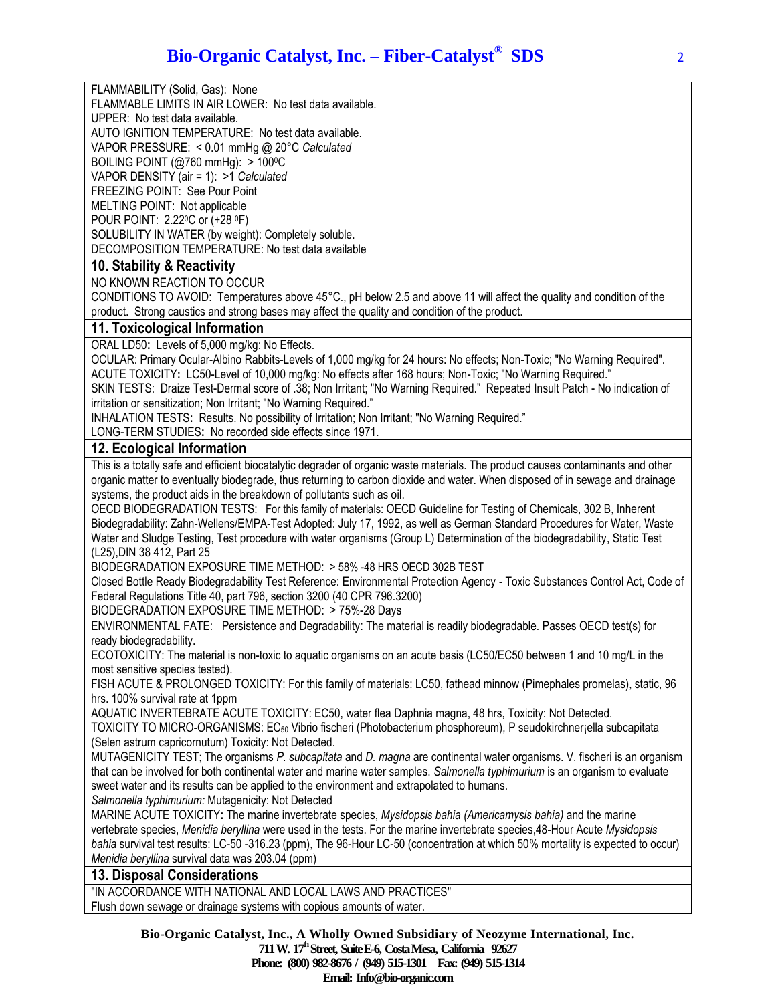FLAMMABILITY (Solid, Gas): None

FLAMMABLE LIMITS IN AIR LOWER: No test data available.

UPPER: No test data available.

AUTO IGNITION TEMPERATURE: No test data available.

VAPOR PRESSURE: < 0.01 mmHg @ 20°C *Calculated*

BOILING POINT ( $@760$  mmHg):  $>100$ <sup>o</sup>C

VAPOR DENSITY (air = 1): >1 *Calculated*

FREEZING POINT: See Pour Point MELTING POINT: Not applicable

POUR POINT: 2.220C or (+28 <sup>0</sup>F)

SOLUBILITY IN WATER (by weight): Completely soluble. DECOMPOSITION TEMPERATURE: No test data available

# **10. Stability & Reactivity**

NO KNOWN REACTION TO OCCUR

CONDITIONS TO AVOID: Temperatures above 45°C., pH below 2.5 and above 11 will affect the quality and condition of the product. Strong caustics and strong bases may affect the quality and condition of the product.

#### **11. Toxicological Information**

ORAL LD50**:** Levels of 5,000 mg/kg: No Effects.

OCULAR: Primary Ocular-Albino Rabbits-Levels of 1,000 mg/kg for 24 hours: No effects; Non-Toxic; "No Warning Required". ACUTE TOXICITY**:** LC50-Level of 10,000 mg/kg: No effects after 168 hours; Non-Toxic; "No Warning Required."

SKIN TESTS: Draize Test-Dermal score of .38; Non Irritant; "No Warning Required." Repeated Insult Patch - No indication of irritation or sensitization; Non Irritant; "No Warning Required."

INHALATION TESTS**:** Results. No possibility of Irritation; Non Irritant; "No Warning Required."

LONG-TERM STUDIES**:** No recorded side effects since 1971.

## **12. Ecological Information**

This is a totally safe and efficient biocatalytic degrader of organic waste materials. The product causes contaminants and other organic matter to eventually biodegrade, thus returning to carbon dioxide and water. When disposed of in sewage and drainage systems, the product aids in the breakdown of pollutants such as oil.

OECD BIODEGRADATION TESTS: For this family of materials: OECD Guideline for Testing of Chemicals, 302 B, Inherent Biodegradability: Zahn-Wellens/EMPA-Test Adopted: July 17, 1992, as well as German Standard Procedures for Water, Waste Water and Sludge Testing, Test procedure with water organisms (Group L) Determination of the biodegradability, Static Test (L25),DIN 38 412, Part 25

BIODEGRADATION EXPOSURE TIME METHOD: > 58% -48 HRS OECD 302B TEST

Closed Bottle Ready Biodegradability Test Reference: Environmental Protection Agency - Toxic Substances Control Act, Code of Federal Regulations Title 40, part 796, section 3200 (40 CPR 796.3200)

BIODEGRADATION EXPOSURE TIME METHOD: > 75%-28 Days

ENVIRONMENTAL FATE: Persistence and Degradability: The material is readily biodegradable. Passes OECD test(s) for ready biodegradability.

ECOTOXICITY: The material is non-toxic to aquatic organisms on an acute basis (LC50/EC50 between 1 and 10 mg/L in the most sensitive species tested).

FISH ACUTE & PROLONGED TOXICITY: For this family of materials: LC50, fathead minnow (Pimephales promelas), static, 96 hrs. 100% survival rate at 1ppm

AQUATIC INVERTEBRATE ACUTE TOXICITY: EC50, water flea Daphnia magna, 48 hrs, Toxicity: Not Detected.

TOXICITY TO MICRO-ORGANISMS: EC<sup>50</sup> Vibrio fischeri (Photobacterium phosphoreum), P seudokirchner¡ella subcapitata (Selen astrum capricornutum) Toxicity: Not Detected.

MUTAGENICITY TEST; The organisms *P. subcapitata* and *D. magna* are continental water organisms. V. fischeri is an organism that can be involved for both continental water and marine water samples. *Salmonella typhimurium* is an organism to evaluate sweet water and its results can be applied to the environment and extrapolated to humans.

*Salmonella typhimurium:* Mutagenicity: Not Detected

MARINE ACUTE TOXICITY**:** The marine invertebrate species, *Mysidopsis bahia (Americamysis bahia)* and the marine vertebrate species, *Menidia beryllina* were used in the tests. For the marine invertebrate species,48-Hour Acute *Mysidopsis bahia* survival test results: LC-50 -316.23 (ppm), The 96-Hour LC-50 (concentration at which 50% mortality is expected to occur) *Menidia beryllina* survival data was 203.04 (ppm)

## **13. Disposal Considerations**

"IN ACCORDANCE WITH NATIONAL AND LOCAL LAWS AND PRACTICES" Flush down sewage or drainage systems with copious amounts of water.

> **Bio-Organic Catalyst, Inc., A Wholly Owned Subsidiary of Neozyme International, Inc. 711 W. 17th Street, SuiteE-6, CostaMesa, California 92627 Phone: (800) 982-8676 / (949) 515-1301 Fax: (949) 515-1314 Email: Info@bio-organic.com**